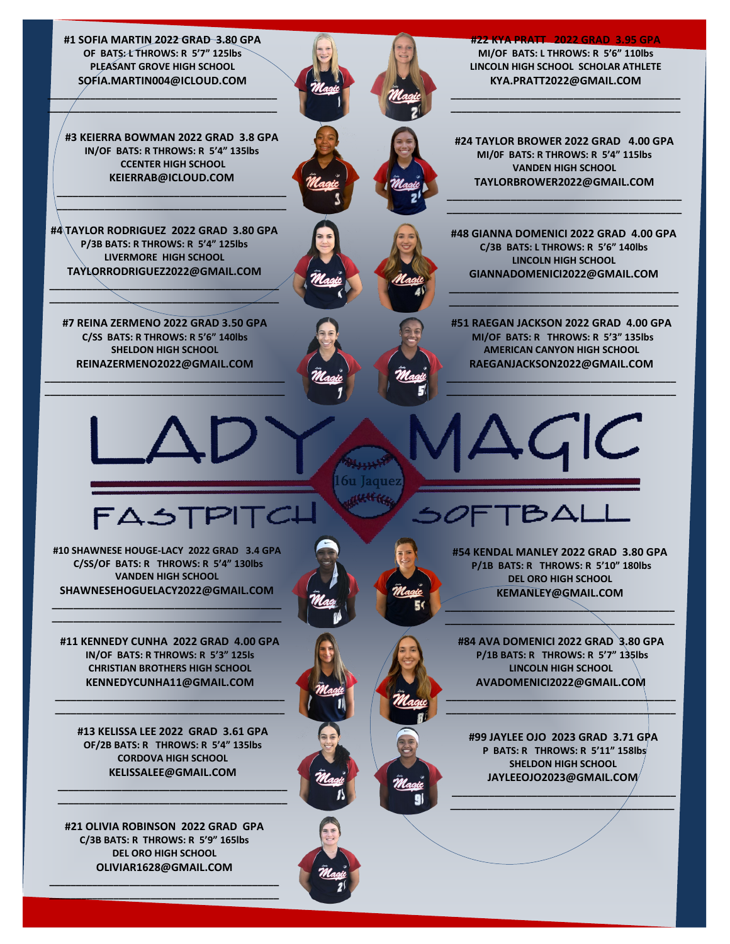**#1 SOFIA MARTIN 2022 GRAD 3.80 GPA OF BATS: L THROWS: R 5'7" 125lbs PLEASANT GROVE HIGH SCHOOL SOFIA.MARTIN004@ICLOUD.COM**

**\_\_\_\_\_\_\_\_\_\_\_\_\_\_\_\_\_\_\_\_\_\_\_\_\_\_\_\_\_\_\_\_\_\_\_\_\_\_\_\_\_\_\_ \_\_\_\_\_\_\_\_\_\_\_\_\_\_\_\_\_\_\_\_\_\_\_\_\_\_\_\_\_\_\_\_\_\_\_\_\_\_\_\_\_\_\_**

**#3 KEIERRA BOWMAN 2022 GRAD 3.8 GPA IN/OF BATS: R THROWS: R 5'4" 135lbs CCENTER HIGH SCHOOL KEIERRAB@ICLOUD.COM**

**\_\_\_\_\_\_\_\_\_\_\_\_\_\_\_\_\_\_\_\_\_\_\_\_\_\_\_\_\_\_\_\_\_\_\_\_\_\_\_\_\_\_\_ \_\_\_\_\_\_\_\_\_\_\_\_\_\_\_\_\_\_\_\_\_\_\_\_\_\_\_\_\_\_\_\_\_\_\_\_\_\_\_\_\_\_\_**

**#4 TAYLOR RODRIGUEZ 2022 GRAD 3.80 GPA P/3B BATS: R THROWS: R 5'4" 125lbs LIVERMORE HIGH SCHOOL TAYLORRODRIGUEZ2022@GMAIL.COM**

**\_\_\_\_\_\_\_\_\_\_\_\_\_\_\_\_\_\_\_\_\_\_\_\_\_\_\_\_\_\_\_\_\_\_\_\_\_\_\_\_\_\_\_ \_\_\_\_\_\_\_\_\_\_\_\_\_\_\_\_\_\_\_\_\_\_\_\_\_\_\_\_\_\_\_\_\_\_\_\_\_\_\_\_\_\_\_**

İ



**#24 TAYLOR BROWER 2022 GRAD 4.00 GPA MI/0F BATS: R THROWS: R 5'4" 115lbs VANDEN HIGH SCHOOL TAYLORBROWER2022@GMAIL.COM** 

**\_\_\_\_\_\_\_\_\_\_\_\_\_\_\_\_\_\_\_\_\_\_\_\_\_\_\_\_\_\_\_\_\_\_\_\_\_\_\_\_\_\_\_\_ \_\_\_\_\_\_\_\_\_\_\_\_\_\_\_\_\_\_\_\_\_\_\_\_\_\_\_\_\_\_\_\_\_\_\_\_\_\_\_\_\_\_\_\_**

**#48 GIANNA DOMENICI 2022 GRAD 4.00 GPA C/3B BATS: L THROWS: R 5'6" 140lbs LINCOLN HIGH SCHOOL GIANNADOMENICI2022@GMAIL.COM**

**\_\_\_\_\_\_\_\_\_\_\_\_\_\_\_\_\_\_\_\_\_\_\_\_\_\_\_\_\_\_\_\_\_\_\_\_\_\_\_\_\_\_\_ \_\_\_\_\_\_\_\_\_\_\_\_\_\_\_\_\_\_\_\_\_\_\_\_\_\_\_\_\_\_\_\_\_\_\_\_\_\_\_\_\_\_\_**

**#7 REINA ZERMENO 2022 GRAD 3.50 GPA C/SS BATS: R THROWS: R 5'6" 140lbs SHELDON HIGH SCHOOL REINAZERMENO2022@GMAIL.COM**

**\_\_\_\_\_\_\_\_\_\_\_\_\_\_\_\_\_\_\_\_\_\_\_\_\_\_\_\_\_\_\_\_\_\_\_\_\_\_\_\_\_\_\_\_\_ \_\_\_\_\_\_\_\_\_\_\_\_\_\_\_\_\_\_\_\_\_\_\_\_\_\_\_\_\_\_\_\_\_\_\_\_\_\_\_\_\_\_\_\_\_**



**#51 RAEGAN JACKSON 2022 GRAD 4.00 GPA MI/OF BATS: R THROWS: R 5'3" 135lbs AMERICAN CANYON HIGH SCHOOL RAEGANJACKSON2022@GMAIL.COM**

**\_\_\_\_\_\_\_\_\_\_\_\_\_\_\_\_\_\_\_\_\_\_\_\_\_\_\_\_\_\_\_\_\_\_\_\_\_\_\_\_\_\_\_ \_\_\_\_\_\_\_\_\_\_\_\_\_\_\_\_\_\_\_\_\_\_\_\_\_\_\_\_\_\_\_\_\_\_\_\_\_\_\_\_\_\_\_**

**#10 SHAWNESE HOUGE-LACY 2022 GRAD 3.4 GPA C/SS/OF BATS: R THROWS: R 5'4" 130lbs VANDEN HIGH SCHOOL SHAWNESEHOGUELACY2022@GMAIL.COM**

**\_\_\_\_\_\_\_\_\_\_\_\_\_\_\_\_\_\_\_\_\_\_\_\_\_\_\_\_\_\_\_\_\_\_\_\_\_\_\_\_\_\_\_ \_\_\_\_\_\_\_\_\_\_\_\_\_\_\_\_\_\_\_\_\_\_\_\_\_\_\_\_\_\_\_\_\_\_\_\_\_\_\_\_\_\_\_**

**#11 KENNEDY CUNHA 2022 GRAD 4.00 GPA IN/OF BATS: R THROWS: R 5'3" 125ls CHRISTIAN BROTHERS HIGH SCHOOL KENNEDYCUNHA11@GMAIL.COM** 

**\_\_\_\_\_\_\_\_\_\_\_\_\_\_\_\_\_\_\_\_\_\_\_\_\_\_\_\_\_\_\_\_\_\_\_\_\_\_\_\_\_\_\_ \_\_\_\_\_\_\_\_\_\_\_\_\_\_\_\_\_\_\_\_\_\_\_\_\_\_\_\_\_\_\_\_\_\_\_\_\_\_\_\_\_\_\_**

**#13 KELISSA LEE 2022 GRAD 3.61 GPA OF/2B BATS: R THROWS: R 5'4" 135lbs CORDOVA HIGH SCHOOL KELISSALEE@GMAIL.COM**

**\_\_\_\_\_\_\_\_\_\_\_\_\_\_\_\_\_\_\_\_\_\_\_\_\_\_\_\_\_\_\_\_\_\_\_\_\_\_\_\_\_\_\_ \_\_\_\_\_\_\_\_\_\_\_\_\_\_\_\_\_\_\_\_\_\_\_\_\_\_\_\_\_\_\_\_\_\_\_\_\_\_\_\_\_\_\_**

**#21 OLIVIA ROBINSON 2022 GRAD GPA C/3B BATS: R THROWS: R 5'9" 165lbs DEL ORO HIGH SCHOOL OLIVIAR1628@GMAIL.COM**

**\_\_\_\_\_\_\_\_\_\_\_\_\_\_\_\_\_\_\_\_\_\_\_\_\_\_\_\_\_\_\_\_\_\_\_\_\_\_\_\_\_\_\_ \_\_\_\_\_\_\_\_\_\_\_\_\_\_\_\_\_\_\_\_\_\_\_\_\_\_\_\_\_\_\_\_\_\_\_\_\_\_\_\_\_\_\_**



**#54 KENDAL MANLEY 2022 GRAD 3.80 GPA P/1B BATS: R THROWS: R 5'10" 180lbs DEL ORO HIGH SCHOOL KEMANLEY@GMAIL.COM**

BAL

**\_\_\_\_\_\_\_\_\_\_\_\_\_\_\_\_\_\_\_\_\_\_\_\_\_\_\_\_\_\_\_\_\_\_\_\_\_\_\_\_\_\_\_ \_\_\_\_\_\_\_\_\_\_\_\_\_\_\_\_\_\_\_\_\_\_\_\_\_\_\_\_\_\_\_\_\_\_\_\_\_\_\_\_\_\_\_**





ì

**#84 AVA DOMENICI 2022 GRAD 3.80 GPA P/1B BATS: R THROWS: R 5'7" 135lbs LINCOLN HIGH SCHOOL AVADOMENICI2022@GMAIL.COM**

**\_\_\_\_\_\_\_\_\_\_\_\_\_\_\_\_\_\_\_\_\_\_\_\_\_\_\_\_\_\_\_\_\_\_\_\_\_\_\_\_\_\_\_ \_\_\_\_\_\_\_\_\_\_\_\_\_\_\_\_\_\_\_\_\_\_\_\_\_\_\_\_\_\_\_\_\_\_\_\_\_\_\_\_\_\_\_**

**#99 JAYLEE OJO 2023 GRAD 3.71 GPA P BATS: R THROWS: R 5'11" 158lbs SHELDON HIGH SCHOOL JAYLEEOJO2023@GMAIL.COM**

**\_\_\_\_\_\_\_\_\_\_\_\_\_\_\_\_\_\_\_\_\_\_\_\_\_\_\_\_\_\_\_\_\_\_\_\_\_\_\_\_\_\_ \_\_\_\_\_\_\_\_\_\_\_\_\_\_\_\_\_\_\_\_\_\_\_\_\_\_\_\_\_\_\_\_\_\_\_\_\_\_\_\_\_\_**

## **#22 KYA PRATT 2022 GRAD 3.95 GPA**

**MI/OF BATS: L THROWS: R 5'6" 110lbs LINCOLN HIGH SCHOOL SCHOLAR ATHLETE KYA.PRATT2022@GMAIL.COM** 

**\_\_\_\_\_\_\_\_\_\_\_\_\_\_\_\_\_\_\_\_\_\_\_\_\_\_\_\_\_\_\_\_\_\_\_\_\_\_\_\_\_\_\_ \_\_\_\_\_\_\_\_\_\_\_\_\_\_\_\_\_\_\_\_\_\_\_\_\_\_\_\_\_\_\_\_\_\_\_\_\_\_\_\_\_\_\_**